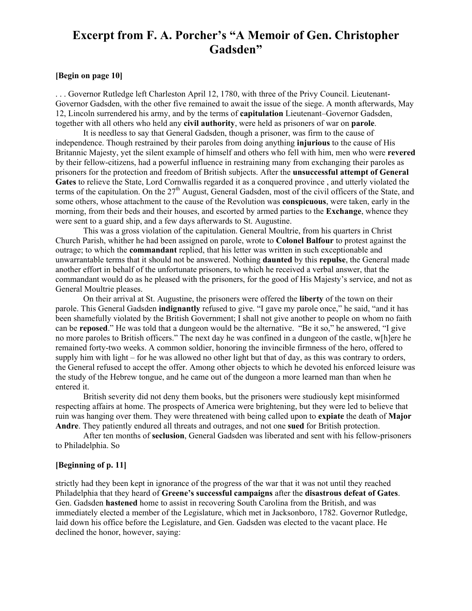## **Excerpt from F. A. Porcher's "A Memoir of Gen. Christopher Gadsden"**

## **[Begin on page 10]**

. . . Governor Rutledge left Charleston April 12, 1780, with three of the Privy Council. Lieutenant Governor Gadsden, with the other five remained to await the issue of the siege. A month afterwards, May 12, Lincoln surrendered his army, and by the terms of **capitulation** Lieutenant–Governor Gadsden, together with all others who held any **civil authority**, were held as prisoners of war on **parole**.

It is needless to say that General Gadsden, though a prisoner, was firm to the cause of independence. Though restrained by their paroles from doing anything **injurious** to the cause of His Britannic Majesty, yet the silent example of himself and others who fell with him, men who were **revered** by their fellow-citizens, had a powerful influence in restraining many from exchanging their paroles as prisoners for the protection and freedom of British subjects. After the **unsuccessful attempt of General Gates** to relieve the State, Lord Cornwallis regarded it as a conquered province , and utterly violated the terms of the capitulation. On the 27<sup>th</sup> August, General Gadsden, most of the civil officers of the State, and some others, whose attachment to the cause of the Revolution was **conspicuous**, were taken, early in the morning, from their beds and their houses, and escorted by armed parties to the **Exchange**, whence they were sent to a guard ship, and a few days afterwards to St. Augustine.

This was a gross violation of the capitulation. General Moultrie, from his quarters in Christ Church Parish, whither he had been assigned on parole, wrote to **Colonel Balfour** to protest against the outrage; to which the **commandant** replied, that his letter was written in such exceptionable and unwarrantable terms that it should not be answered. Nothing **daunted** by this **repulse**, the General made another effort in behalf of the unfortunate prisoners, to which he received a verbal answer, that the commandant would do as he pleased with the prisoners, for the good of His Majesty's service, and not as General Moultrie pleases.

On their arrival at St. Augustine, the prisoners were offered the **liberty** of the town on their parole. This General Gadsden **indignantly** refused to give. "I gave my parole once," he said, "and it has been shamefully violated by the British Government; I shall not give another to people on whom no faith can be **reposed**." He was told that a dungeon would be the alternative. "Be it so," he answered, "I give no more paroles to British officers." The next day he was confined in a dungeon of the castle, w[h]ere he remained forty-two weeks. A common soldier, honoring the invincible firmness of the hero, offered to supply him with light – for he was allowed no other light but that of day, as this was contrary to orders, the General refused to accept the offer. Among other objects to which he devoted his enforced leisure was the study of the Hebrew tongue, and he came out of the dungeon a more learned man than when he entered it.

British severity did not deny them books, but the prisoners were studiously kept misinformed respecting affairs at home. The prospects of America were brightening, but they were led to believe that ruin was hanging over them. They were threatened with being called upon to **expiate** the death of **Major Andre**. They patiently endured all threats and outrages, and not one **sued** for British protection.

After ten months of **seclusion**, General Gadsden was liberated and sent with his fellow-prisoners to Philadelphia. So

## **[Beginning of p. 11]**

strictly had they been kept in ignorance of the progress of the war that it was not until they reached Philadelphia that they heard of **Greene's successful campaigns** after the **disastrous defeat of Gates**. Gen. Gadsden **hastened** home to assist in recovering South Carolina from the British, and was immediately elected a member of the Legislature, which met in Jacksonboro, 1782. Governor Rutledge, laid down his office before the Legislature, and Gen. Gadsden was elected to the vacant place. He declined the honor, however, saying: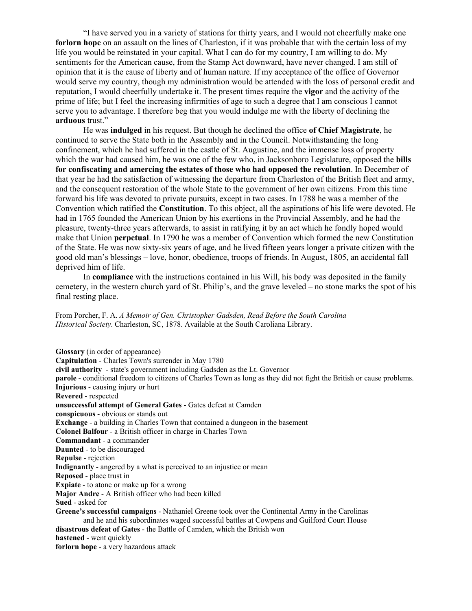"I have served you in a variety of stations for thirty years, and I would not cheerfully make one **forlorn hope** on an assault on the lines of Charleston, if it was probable that with the certain loss of my life you would be reinstated in your capital. What I can do for my country, I am willing to do. My sentiments for the American cause, from the Stamp Act downward, have never changed. I am still of opinion that it is the cause of liberty and of human nature. If my acceptance of the office of Governor would serve my country, though my administration would be attended with the loss of personal credit and reputation, I would cheerfully undertake it. The present times require the **vigor** and the activity of the prime of life; but I feel the increasing infirmities of age to such a degree that I am conscious I cannot serve you to advantage. I therefore beg that you would indulge me with the liberty of declining the **arduous** trust."

He was **indulged** in his request. But though he declined the office **of Chief Magistrate**, he continued to serve the State both in the Assembly and in the Council. Notwithstanding the long confinement, which he had suffered in the castle of St. Augustine, and the immense loss of property which the war had caused him, he was one of the few who, in Jacksonboro Legislature, opposed the **bills for confiscating and amercing the estates of those who had opposed the revolution**. In December of that year he had the satisfaction of witnessing the departure from Charleston of the British fleet and army, and the consequent restoration of the whole State to the government of her own citizens. From this time forward his life was devoted to private pursuits, except in two cases. In 1788 he was a member of the Convention which ratified the **Constitution**. To this object, all the aspirations of his life were devoted. He had in 1765 founded the American Union by his exertions in the Provincial Assembly, and he had the pleasure, twenty-three years afterwards, to assist in ratifying it by an act which he fondly hoped would make that Union **perpetual**. In 1790 he was a member of Convention which formed the new Constitution of the State. He was now sixtysix years of age, and he lived fifteen years longer a private citizen with the good old man's blessings – love, honor, obedience, troops of friends. In August, 1805, an accidental fall deprived him of life.

In **compliance** with the instructions contained in his Will, his body was deposited in the family cemetery, in the western church yard of St. Philip's, and the grave leveled – no stone marks the spot of his final resting place.

From Porcher, F. A. *A Memoir of Gen. Christopher Gadsden, Read Before the South Carolina Historical Society*. Charleston, SC, 1878. Available at the South Caroliana Library.

**Glossary** (in order of appearance) **Capitulation** Charles Town's surrender in May 1780 civil authority - state's government including Gadsden as the Lt. Governor **parole** - conditional freedom to citizens of Charles Town as long as they did not fight the British or cause problems. **Injurious** - causing injury or hurt **Revered** - respected **unsuccessful attempt of General Gates** Gates defeat at Camden **conspicuous** - obvious or stands out **Exchange** - a building in Charles Town that contained a dungeon in the basement **Colonel Balfour** - a British officer in charge in Charles Town **Commandant** - a commander **Daunted** - to be discouraged **Repulse** - rejection **Indignantly** - angered by a what is perceived to an injustice or mean **Reposed** - place trust in **Expiate** - to atone or make up for a wrong **Major Andre** - A British officer who had been killed **Sued** - asked for **Greene's successful campaigns** Nathaniel Greene took over the Continental Army in the Carolinas and he and his subordinates waged successful battles at Cowpens and Guilford Court House disastrous defeat of Gates - the Battle of Camden, which the British won **hastened** - went quickly **forlorn hope** - a very hazardous attack